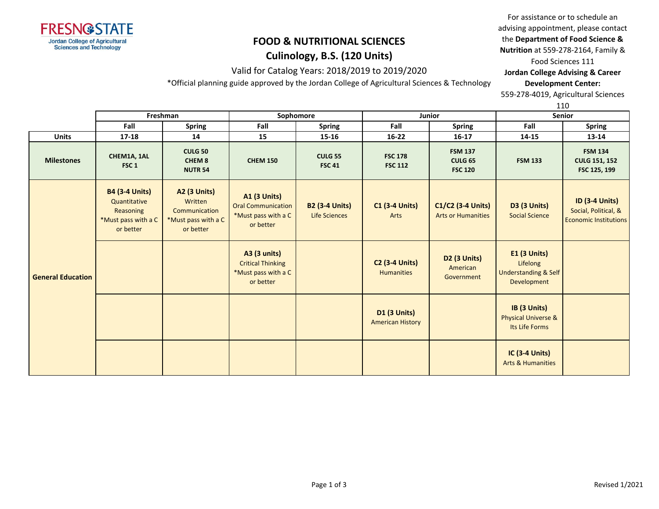

#### **Culinology, B.S. (120 Units)**

Valid for Catalog Years: 2018/2019 to 2019/2020

\*Official planning guide approved by the Jordan College of Agricultural Sciences & Technology

For assistance or to schedule an advising appointment, please contact the **Department of Food Science & Nutrition** at 559-278-2164, Family &

Food Sciences 111

**Jordan College Advising & Career Development Center:**

559-278-4019, Agricultural Sciences

110

|                          |                                                                                        | Freshman                                                                            |                                                                                      | Sophomore                              | Junior<br><b>Senior</b>                        |                                                    |                                                                            | ---                                                                           |
|--------------------------|----------------------------------------------------------------------------------------|-------------------------------------------------------------------------------------|--------------------------------------------------------------------------------------|----------------------------------------|------------------------------------------------|----------------------------------------------------|----------------------------------------------------------------------------|-------------------------------------------------------------------------------|
|                          | Fall                                                                                   | <b>Spring</b>                                                                       | Fall                                                                                 | <b>Spring</b>                          | Fall                                           | <b>Spring</b>                                      | Fall                                                                       | Spring                                                                        |
| <b>Units</b>             | 17-18                                                                                  | 14                                                                                  | 15                                                                                   | 15-16                                  | $16 - 22$                                      | $16 - 17$                                          | 14-15                                                                      | $13 - 14$                                                                     |
| <b>Milestones</b>        | CHEM1A, 1AL<br>FSC <sub>1</sub>                                                        | <b>CULG 50</b><br>CHEM <sub>8</sub><br><b>NUTR 54</b>                               | <b>CHEM 150</b>                                                                      | <b>CULG 55</b><br><b>FSC 41</b>        | <b>FSC 178</b><br><b>FSC 112</b>               | <b>FSM 137</b><br><b>CULG 65</b><br><b>FSC 120</b> | <b>FSM 133</b>                                                             | <b>FSM 134</b><br><b>CULG 151, 152</b><br>FSC 125, 199                        |
|                          | <b>B4 (3-4 Units)</b><br>Quantitative<br>Reasoning<br>*Must pass with a C<br>or better | <b>A2 (3 Units)</b><br>Written<br>Communication<br>*Must pass with a C<br>or better | <b>A1 (3 Units)</b><br><b>Oral Communication</b><br>*Must pass with a C<br>or better | <b>B2 (3-4 Units)</b><br>Life Sciences | <b>C1 (3-4 Units)</b><br>Arts                  | C1/C2 (3-4 Units)<br><b>Arts or Humanities</b>     | <b>D3 (3 Units)</b><br><b>Social Science</b>                               | <b>ID (3-4 Units)</b><br>Social, Political, &<br><b>Economic Institutions</b> |
| <b>General Education</b> |                                                                                        |                                                                                     | <b>A3 (3 units)</b><br><b>Critical Thinking</b><br>*Must pass with a C<br>or better  |                                        | <b>C2 (3-4 Units)</b><br><b>Humanities</b>     | <b>D2 (3 Units)</b><br>American<br>Government      | E1 (3 Units)<br>Lifelong<br><b>Understanding &amp; Self</b><br>Development |                                                                               |
|                          |                                                                                        |                                                                                     |                                                                                      |                                        | <b>D1 (3 Units)</b><br><b>American History</b> |                                                    | IB (3 Units)<br><b>Physical Universe &amp;</b><br>Its Life Forms           |                                                                               |
|                          |                                                                                        |                                                                                     |                                                                                      |                                        |                                                |                                                    | <b>IC (3-4 Units)</b><br><b>Arts &amp; Humanities</b>                      |                                                                               |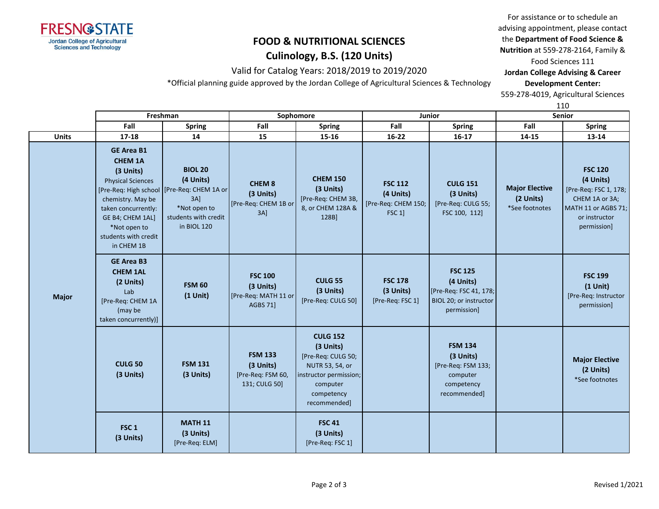

#### **Culinology, B.S. (120 Units)**

Valid for Catalog Years: 2018/2019 to 2019/2020

\*Official planning guide approved by the Jordan College of Agricultural Sciences & Technology

For assistance or to schedule an advising appointment, please contact the **Department of Food Science & Nutrition** at 559-278-2164, Family &

Food Sciences 111

**Jordan College Advising & Career Development Center:**

559-278-4019, Agricultural Sciences

110

|              |                                                                                                                                                                                                    | Freshman                                                                                                                                     |                                                                        | Sophomore                                                                                                                                 |                                                              | Junior                                                                                         | <b>Senior</b>                                        |                                                                                                                               |  |
|--------------|----------------------------------------------------------------------------------------------------------------------------------------------------------------------------------------------------|----------------------------------------------------------------------------------------------------------------------------------------------|------------------------------------------------------------------------|-------------------------------------------------------------------------------------------------------------------------------------------|--------------------------------------------------------------|------------------------------------------------------------------------------------------------|------------------------------------------------------|-------------------------------------------------------------------------------------------------------------------------------|--|
|              | Fall                                                                                                                                                                                               | <b>Spring</b>                                                                                                                                | Fall                                                                   | <b>Spring</b>                                                                                                                             | Fall                                                         | <b>Spring</b>                                                                                  | Fall                                                 | <b>Spring</b>                                                                                                                 |  |
| <b>Units</b> | 17-18                                                                                                                                                                                              | 14                                                                                                                                           | 15                                                                     | 15-16                                                                                                                                     | $16 - 22$                                                    | $16 - 17$                                                                                      | 14-15                                                | 13-14                                                                                                                         |  |
|              | <b>GE Area B1</b><br><b>CHEM 1A</b><br>(3 Units)<br><b>Physical Sciences</b><br>chemistry. May be<br>taken concurrently:<br>GE B4; CHEM 1AL]<br>*Not open to<br>students with credit<br>in CHEM 1B | <b>BIOL 20</b><br>(4 Units)<br>[Pre-Req: High school   [Pre-Req: CHEM 1A or<br>$3A$ ]<br>*Not open to<br>students with credit<br>in BIOL 120 | <b>CHEM 8</b><br>(3 Units)<br>[Pre-Req: CHEM 1B or<br>$3A$ ]           | <b>CHEM 150</b><br>(3 Units)<br>[Pre-Req: CHEM 3B,<br>8, or CHEM 128A &<br>128B]                                                          | <b>FSC 112</b><br>(4 Units)<br>[Pre-Req: CHEM 150;<br>FSC 1] | <b>CULG 151</b><br>(3 Units)<br>[Pre-Req: CULG 55;<br>FSC 100, 112]                            | <b>Major Elective</b><br>(2 Units)<br>*See footnotes | <b>FSC 120</b><br>(4 Units)<br>[Pre-Req: FSC 1, 178;<br>CHEM 1A or 3A;<br>MATH 11 or AGBS 71;<br>or instructor<br>permission] |  |
| <b>Major</b> | <b>GE Area B3</b><br><b>CHEM 1AL</b><br>(2 Units)<br>Lab<br>[Pre-Req: CHEM 1A<br>(may be<br>taken concurrently)]                                                                                   | <b>FSM 60</b><br>$(1$ Unit)                                                                                                                  | <b>FSC 100</b><br>(3 Units)<br>[Pre-Req: MATH 11 or<br><b>AGBS 71]</b> | <b>CULG 55</b><br>(3 Units)<br>[Pre-Req: CULG 50]                                                                                         | <b>FSC 178</b><br>(3 Units)<br>[Pre-Req: FSC 1]              | <b>FSC 125</b><br>(4 Units)<br>[Pre-Req: FSC 41, 178;<br>BIOL 20; or instructor<br>permission] |                                                      | <b>FSC 199</b><br>$(1$ Unit)<br>[Pre-Req: Instructor<br>permission]                                                           |  |
|              | <b>CULG 50</b><br>(3 Units)                                                                                                                                                                        | <b>FSM 131</b><br>(3 Units)                                                                                                                  | <b>FSM 133</b><br>(3 Units)<br>[Pre-Req: FSM 60,<br>131; CULG 50]      | <b>CULG 152</b><br>(3 Units)<br>[Pre-Req: CULG 50;<br>NUTR 53, 54, or<br>instructor permission;<br>computer<br>competency<br>recommended] |                                                              | <b>FSM 134</b><br>(3 Units)<br>[Pre-Req: FSM 133;<br>computer<br>competency<br>recommended]    |                                                      | <b>Major Elective</b><br>(2 Units)<br>*See footnotes                                                                          |  |
|              | FSC <sub>1</sub><br>(3 Units)                                                                                                                                                                      | <b>MATH 11</b><br>(3 Units)<br>[Pre-Req: ELM]                                                                                                |                                                                        | <b>FSC 41</b><br>(3 Units)<br>[Pre-Req: FSC 1]                                                                                            |                                                              |                                                                                                |                                                      |                                                                                                                               |  |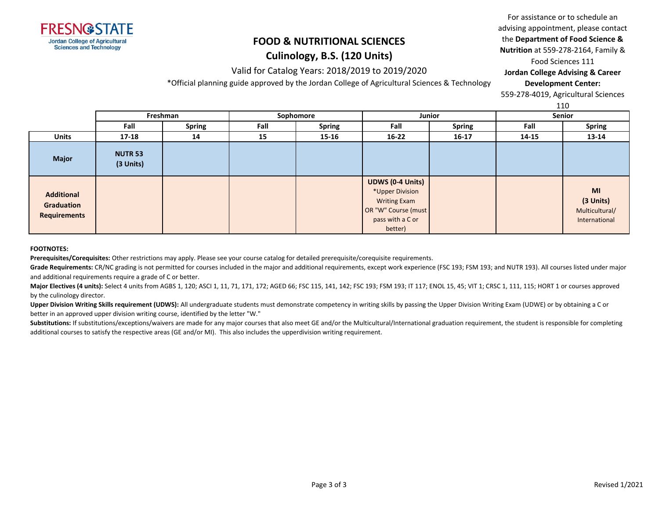

#### **Culinology, B.S. (120 Units)**

Valid for Catalog Years: 2018/2019 to 2019/2020

\*Official planning guide approved by the Jordan College of Agricultural Sciences & Technology

For assistance or to schedule an advising appointment, please contact the **Department of Food Science & Nutrition** at 559-278-2164, Family & Food Sciences 111

**Jordan College Advising & Career Development Center:**

559-278-4019, Agricultural Sciences

110

|                                                        |                             | ᆠᅶᅛ           |      |                            |                                                                                                                         |               |       |                                                    |
|--------------------------------------------------------|-----------------------------|---------------|------|----------------------------|-------------------------------------------------------------------------------------------------------------------------|---------------|-------|----------------------------------------------------|
|                                                        | Freshman                    |               |      | Sophomore<br><b>Junior</b> |                                                                                                                         |               |       | Senior                                             |
|                                                        | Fall                        | <b>Spring</b> | Fall | <b>Spring</b>              | Fall                                                                                                                    | <b>Spring</b> | Fall  | <b>Spring</b>                                      |
| <b>Units</b>                                           | $17 - 18$                   | 14            | 15   | $15 - 16$                  | $16 - 22$                                                                                                               | $16 - 17$     | 14-15 | 13-14                                              |
| <b>Major</b>                                           | <b>NUTR 53</b><br>(3 Units) |               |      |                            |                                                                                                                         |               |       |                                                    |
| <b>Additional</b><br>Graduation<br><b>Requirements</b> |                             |               |      |                            | <b>UDWS (0-4 Units)</b><br>*Upper Division<br><b>Writing Exam</b><br>OR "W" Course (must<br>pass with a C or<br>better) |               |       | MI<br>(3 Units)<br>Multicultural/<br>International |

#### **FOOTNOTES:**

**Prerequisites/Corequisites:** Other restrictions may apply. Please see your course catalog for detailed prerequisite/corequisite requirements.

Grade Requirements: CR/NC grading is not permitted for courses included in the major and additional requirements, except work experience (FSC 193; FSM 193; and NUTR 193). All courses listed under major and additional requirements require a grade of C or better.

**Major Electives (4 units):** Select 4 units from AGBS 1, 120; ASCI 1, 11, 71, 171, 172; AGED 66; FSC 115, 141, 142; FSC 193; FSM 193; IT 117; ENOL 15, 45; VIT 1; CRSC 1, 111, 115; HORT 1 or courses approved by the culinology director.

**Upper Division Writing Skills requirement (UDWS):** All undergraduate students must demonstrate competency in writing skills by passing the Upper Division Writing Exam (UDWE) or by obtaining a C or better in an approved upper division writing course, identified by the letter "W."

Substitutions: If substitutions/exceptions/waivers are made for any major courses that also meet GE and/or the Multicultural/International graduation requirement, the student is responsible for completing additional courses to satisfy the respective areas (GE and/or MI). This also includes the upperdivision writing requirement.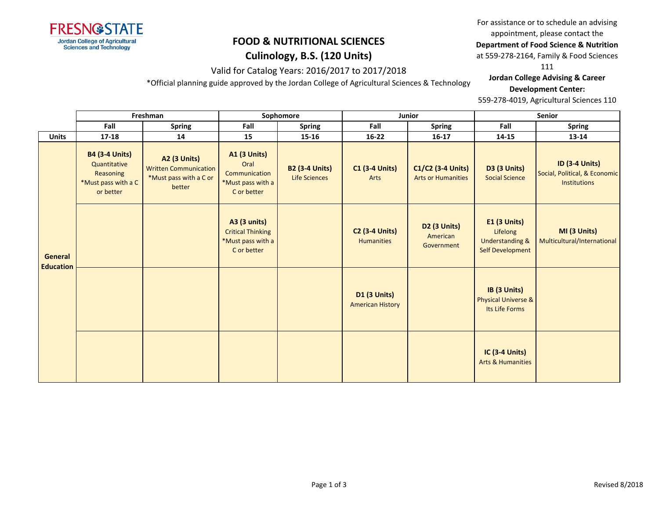

## **Culinology, B.S. (120 Units)**

Valid for Catalog Years: 2016/2017 to 2017/2018

\*Official planning guide approved by the Jordan College of Agricultural Sciences & Technology

For assistance or to schedule an advising appointment, please contact the

**Department of Food Science & Nutrition** 

at 559-278-2164, Family & Food Sciences

111

**Jordan College Advising & Career Development Center:**

|                                    |                                                                                               | Freshman                                                                                |                                                                                  | Sophomore                                     |                                                | Junior                                             | Senior                                                                            |                                                                               |  |
|------------------------------------|-----------------------------------------------------------------------------------------------|-----------------------------------------------------------------------------------------|----------------------------------------------------------------------------------|-----------------------------------------------|------------------------------------------------|----------------------------------------------------|-----------------------------------------------------------------------------------|-------------------------------------------------------------------------------|--|
|                                    | Fall                                                                                          | <b>Spring</b>                                                                           | Fall                                                                             | <b>Spring</b>                                 | Fall                                           | <b>Spring</b>                                      | Fall                                                                              | <b>Spring</b>                                                                 |  |
| <b>Units</b>                       | 17-18                                                                                         | 14                                                                                      | 15                                                                               | 15-16                                         | $16 - 22$                                      | $16 - 17$                                          | 14-15                                                                             | 13-14                                                                         |  |
|                                    | <b>B4 (3-4 Units)</b><br>Quantitative<br><b>Reasoning</b><br>*Must pass with a C<br>or better | <b>A2 (3 Units)</b><br><b>Written Communication</b><br>*Must pass with a C or<br>better | <b>A1 (3 Units)</b><br>Oral<br>Communication<br>*Must pass with a<br>C or better | <b>B2 (3-4 Units)</b><br><b>Life Sciences</b> | <b>C1 (3-4 Units)</b><br>Arts                  | C1/C2 (3-4 Units)<br><b>Arts or Humanities</b>     | <b>D3 (3 Units)</b><br><b>Social Science</b>                                      | <b>ID (3-4 Units)</b><br>Social, Political, & Economic<br><b>Institutions</b> |  |
| <b>General</b><br><b>Education</b> |                                                                                               |                                                                                         | A3 (3 units)<br><b>Critical Thinking</b><br>*Must pass with a<br>C or better     |                                               | <b>C2 (3-4 Units)</b><br><b>Humanities</b>     | D <sub>2</sub> (3 Units)<br>American<br>Government | <b>E1 (3 Units)</b><br>Lifelong<br><b>Understanding &amp;</b><br>Self Development | MI (3 Units)<br>Multicultural/International                                   |  |
|                                    |                                                                                               |                                                                                         |                                                                                  |                                               | <b>D1 (3 Units)</b><br><b>American History</b> |                                                    | IB (3 Units)<br><b>Physical Universe &amp;</b><br>Its Life Forms                  |                                                                               |  |
|                                    |                                                                                               |                                                                                         |                                                                                  |                                               |                                                |                                                    | <b>IC (3-4 Units)</b><br><b>Arts &amp; Humanities</b>                             |                                                                               |  |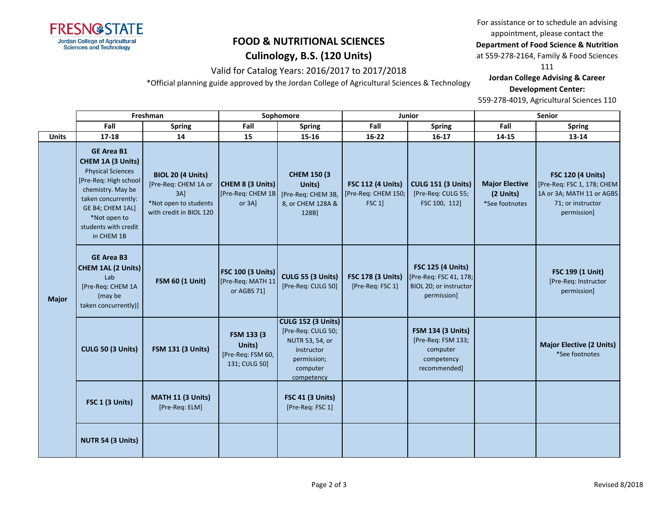

### **Culinology, B.S. (120 Units)**

Valid for Catalog Years: 2016/2017 to 2017/2018

\*Official planning guide approved by the Jordan College of Agricultural Sciences & Technology

For assistance or to schedule an advising appointment, please contact the **Department of Food Science & Nutrition** 

at 559-278-2164, Family & Food Sciences

111

**Jordan College Advising & Career Development Center:**

|              |                                                                                                                                                                                                                   | Freshman                                                                                                    |                                                              | Sophomore                                                                                                                 |                                                                  | Junior                                                                                      | Senior                                               |                                                                                                                         |  |
|--------------|-------------------------------------------------------------------------------------------------------------------------------------------------------------------------------------------------------------------|-------------------------------------------------------------------------------------------------------------|--------------------------------------------------------------|---------------------------------------------------------------------------------------------------------------------------|------------------------------------------------------------------|---------------------------------------------------------------------------------------------|------------------------------------------------------|-------------------------------------------------------------------------------------------------------------------------|--|
|              | Fall                                                                                                                                                                                                              | <b>Spring</b>                                                                                               | Fall                                                         | <b>Spring</b>                                                                                                             | Fall                                                             | <b>Spring</b>                                                                               | Fall                                                 | <b>Spring</b>                                                                                                           |  |
| <b>Units</b> | $17 - 18$                                                                                                                                                                                                         | 14                                                                                                          | 15                                                           | 15-16                                                                                                                     | $16 - 22$                                                        | $16-17$                                                                                     | 14-15                                                | 13-14                                                                                                                   |  |
| <b>Major</b> | <b>GE Area B1</b><br>CHEM 1A (3 Units)<br><b>Physical Sciences</b><br>[Pre-Req: High school<br>chemistry. May be<br>taken concurrently:<br>GE B4; CHEM 1AL]<br>*Not open to<br>students with credit<br>in CHEM 1B | <b>BIOL 20 (4 Units)</b><br>[Pre-Req: CHEM 1A or<br>3AI<br>*Not open to students<br>with credit in BIOL 120 | CHEM 8 (3 Units)<br>[Pre-Req: CHEM 1B<br>or 3A]              | <b>CHEM 150 (3)</b><br>Units)<br>[Pre-Req: CHEM 3B,<br>8, or CHEM 128A &<br>128B]                                         | <b>FSC 112 (4 Units)</b><br>[Pre-Req: CHEM 150;<br><b>FSC 1]</b> | <b>CULG 151 (3 Units)</b><br>[Pre-Req: CULG 55;<br>FSC 100, 112]                            | <b>Major Elective</b><br>(2 Units)<br>*See footnotes | <b>FSC 120 (4 Units)</b><br>[Pre-Req: FSC 1, 178; CHEM<br>1A or 3A; MATH 11 or AGBS<br>71; or instructor<br>permission] |  |
|              | <b>GE Area B3</b><br>CHEM 1AL (2 Units)<br>Lab<br>[Pre-Req: CHEM 1A<br>(may be<br>taken concurrently)]                                                                                                            | <b>FSM 60 (1 Unit)</b>                                                                                      | <b>FSC 100 (3 Units)</b><br>[Pre-Req: MATH 11<br>or AGBS 71] | <b>CULG 55 (3 Units)</b><br>[Pre-Req: CULG 50]                                                                            | <b>FSC 178 (3 Units)</b><br>[Pre-Req: FSC 1]                     | <b>FSC 125 (4 Units)</b><br>[Pre-Req: FSC 41, 178;<br>BIOL 20; or instructor<br>permission] |                                                      | FSC 199 (1 Unit)<br>[Pre-Req: Instructor<br>permission]                                                                 |  |
|              | CULG 50 (3 Units)                                                                                                                                                                                                 | <b>FSM 131 (3 Units)</b>                                                                                    | FSM 133 (3)<br>Units)<br>[Pre-Req: FSM 60,<br>131; CULG 50]  | <b>CULG 152 (3 Units)</b><br>[Pre-Req: CULG 50;<br>NUTR 53, 54, or<br>instructor<br>permission;<br>computer<br>competency |                                                                  | <b>FSM 134 (3 Units)</b><br>[Pre-Req: FSM 133;<br>computer<br>competency<br>recommended]    |                                                      | <b>Major Elective (2 Units)</b><br>*See footnotes                                                                       |  |
|              | FSC 1 (3 Units)                                                                                                                                                                                                   | MATH 11 (3 Units)<br>[Pre-Req: ELM]                                                                         |                                                              | <b>FSC 41 (3 Units)</b><br>[Pre-Req: FSC 1]                                                                               |                                                                  |                                                                                             |                                                      |                                                                                                                         |  |
|              | NUTR 54 (3 Units)                                                                                                                                                                                                 |                                                                                                             |                                                              |                                                                                                                           |                                                                  |                                                                                             |                                                      |                                                                                                                         |  |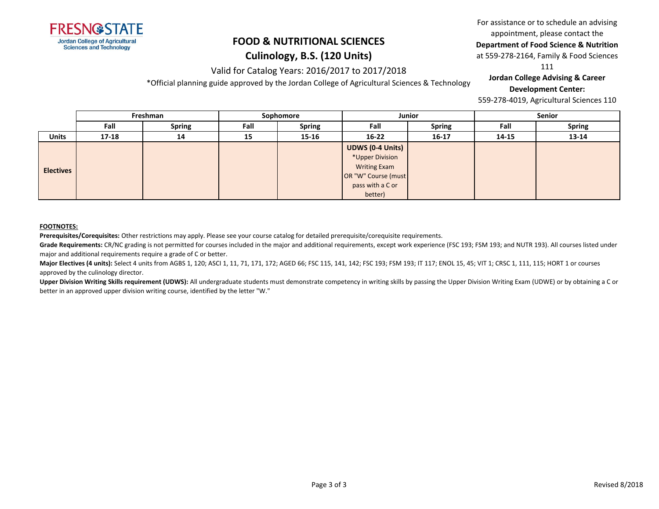

### **FOOD & NUTRITIONAL SCIENCES Culinology, B.S. (120 Units)**

Valid for Catalog Years: 2016/2017 to 2017/2018 \*Official planning guide approved by the Jordan College of Agricultural Sciences & Technology

## For assistance or to schedule an advising appointment, please contact the

**Department of Food Science & Nutrition** 

at 559-278-2164, Family & Food Sciences

111

#### **Jordan College Advising & Career Development Center:**

559-278-4019, Agricultural Sciences 110

|                  | Freshman  |               |      | Sophomore     |                         | <b>Junior</b> |       | Senior        |  |
|------------------|-----------|---------------|------|---------------|-------------------------|---------------|-------|---------------|--|
|                  | Fall      | <b>Spring</b> | Fall | <b>Spring</b> | Fall                    | <b>Spring</b> | Fall  | <b>Spring</b> |  |
| <b>Units</b>     | $17 - 18$ | 14            | 15   | 15-16         | $16 - 22$               | $16 - 17$     | 14-15 | 13-14         |  |
|                  |           |               |      |               | <b>UDWS (0-4 Units)</b> |               |       |               |  |
|                  |           |               |      |               | *Upper Division         |               |       |               |  |
| <b>Electives</b> |           |               |      |               | <b>Writing Exam</b>     |               |       |               |  |
|                  |           |               |      |               | OR "W" Course (must     |               |       |               |  |
|                  |           |               |      |               | pass with a C or        |               |       |               |  |
|                  |           |               |      |               | better)                 |               |       |               |  |

#### **FOOTNOTES:**

**Prerequisites/Corequisites:** Other restrictions may apply. Please see your course catalog for detailed prerequisite/corequisite requirements.

Grade Requirements: CR/NC grading is not permitted for courses included in the major and additional requirements, except work experience (FSC 193; FSM 193; and NUTR 193). All courses listed under major and additional requirements require a grade of C or better.

**Major Electives (4 units):** Select 4 units from AGBS 1, 120; ASCI 1, 11, 71, 171, 172; AGED 66; FSC 115, 141, 142; FSC 193; FSM 193; IT 117; ENOL 15, 45; VIT 1; CRSC 1, 111, 115; HORT 1 or courses approved by the culinology director.

Upper Division Writing Skills requirement (UDWS): All undergraduate students must demonstrate competency in writing skills by passing the Upper Division Writing Exam (UDWE) or by obtaining a C or better in an approved upper division writing course, identified by the letter "W."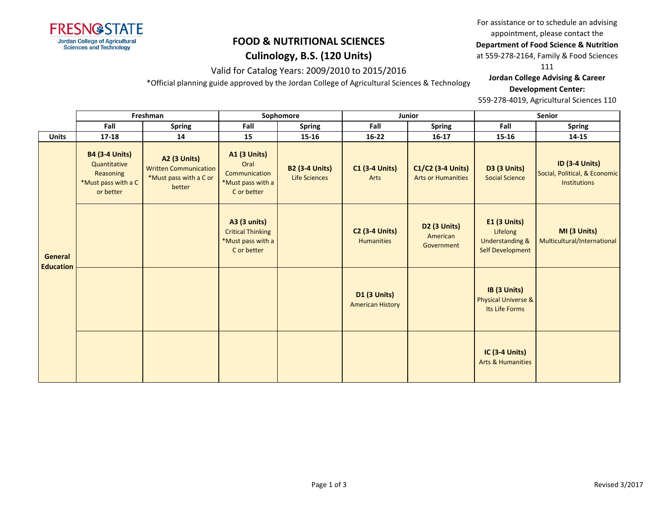

## **Culinology, B.S. (120 Units)**

Valid for Catalog Years: 2009/2010 to 2015/2016

\*Official planning guide approved by the Jordan College of Agricultural Sciences & Technology

For assistance or to schedule an advising appointment, please contact the

**Department of Food Science & Nutrition** 

at 559-278-2164, Family & Food Sciences

111

**Jordan College Advising & Career Development Center:**

|  |                                                                                               |                                                                                         | Freshman                                                                         |                                                                              | Sophomore                     |                                                | Junior                                        | Senior                                                                                   |                                             |  |
|--|-----------------------------------------------------------------------------------------------|-----------------------------------------------------------------------------------------|----------------------------------------------------------------------------------|------------------------------------------------------------------------------|-------------------------------|------------------------------------------------|-----------------------------------------------|------------------------------------------------------------------------------------------|---------------------------------------------|--|
|  |                                                                                               | Fall                                                                                    | <b>Spring</b>                                                                    | Fall                                                                         | <b>Spring</b>                 | Fall                                           | <b>Spring</b>                                 | Fall                                                                                     | <b>Spring</b>                               |  |
|  | <b>Units</b>                                                                                  | $17 - 18$                                                                               | 14                                                                               | 15                                                                           | $15 - 16$                     | $16 - 22$                                      | $16-17$                                       | 15-16                                                                                    | 14-15                                       |  |
|  | <b>B4 (3-4 Units)</b><br>Quantitative<br><b>Reasoning</b><br>*Must pass with a C<br>or better | <b>A2 (3 Units)</b><br><b>Written Communication</b><br>*Must pass with a C or<br>better | <b>A1 (3 Units)</b><br>Oral<br>Communication<br>*Must pass with a<br>C or better | <b>B2 (3-4 Units)</b><br><b>Life Sciences</b>                                | <b>C1 (3-4 Units)</b><br>Arts | C1/C2 (3-4 Units)<br><b>Arts or Humanities</b> | <b>D3 (3 Units)</b><br><b>Social Science</b>  | <b>ID (3-4 Units)</b><br>Social, Political, & Economic<br><b>Institutions</b>            |                                             |  |
|  | <b>General</b><br><b>Education</b>                                                            |                                                                                         |                                                                                  | A3 (3 units)<br><b>Critical Thinking</b><br>*Must pass with a<br>C or better |                               | <b>C2 (3-4 Units)</b><br><b>Humanities</b>     | <b>D2 (3 Units)</b><br>American<br>Government | <b>E1 (3 Units)</b><br>Lifelong<br><b>Understanding &amp;</b><br><b>Self Development</b> | MI (3 Units)<br>Multicultural/International |  |
|  |                                                                                               |                                                                                         |                                                                                  |                                                                              |                               | <b>D1 (3 Units)</b><br><b>American History</b> |                                               | IB (3 Units)<br><b>Physical Universe &amp;</b><br>Its Life Forms                         |                                             |  |
|  |                                                                                               |                                                                                         |                                                                                  |                                                                              |                               |                                                |                                               | <b>IC (3-4 Units)</b><br><b>Arts &amp; Humanities</b>                                    |                                             |  |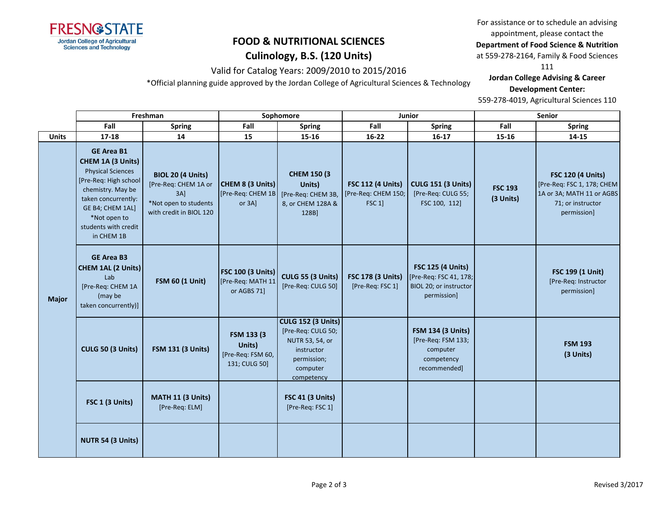

### **Culinology, B.S. (120 Units)**

Valid for Catalog Years: 2009/2010 to 2015/2016

\*Official planning guide approved by the Jordan College of Agricultural Sciences & Technology

For assistance or to schedule an advising appointment, please contact the **Department of Food Science & Nutrition** 

at 559-278-2164, Family & Food Sciences

111

**Jordan College Advising & Career Development Center:**

|              |                                                                                                                                                                                                                   | Freshman                                                                                                    |                                                              | Sophomore                                                                                                                 |                                                                       | Junior                                                                                      |                             | Senior                                                                                                                  |  |
|--------------|-------------------------------------------------------------------------------------------------------------------------------------------------------------------------------------------------------------------|-------------------------------------------------------------------------------------------------------------|--------------------------------------------------------------|---------------------------------------------------------------------------------------------------------------------------|-----------------------------------------------------------------------|---------------------------------------------------------------------------------------------|-----------------------------|-------------------------------------------------------------------------------------------------------------------------|--|
|              | Fall                                                                                                                                                                                                              | <b>Spring</b>                                                                                               | Fall                                                         | <b>Spring</b>                                                                                                             | Fall                                                                  | <b>Spring</b>                                                                               | Fall                        | <b>Spring</b>                                                                                                           |  |
| <b>Units</b> | $17 - 18$                                                                                                                                                                                                         | 14                                                                                                          | 15                                                           | 15-16                                                                                                                     | $16 - 22$                                                             | $16-17$                                                                                     | 15-16                       | 14-15                                                                                                                   |  |
| <b>Major</b> | <b>GE Area B1</b><br>CHEM 1A (3 Units)<br><b>Physical Sciences</b><br>[Pre-Req: High school<br>chemistry. May be<br>taken concurrently:<br>GE B4; CHEM 1AL]<br>*Not open to<br>students with credit<br>in CHEM 1B | <b>BIOL 20 (4 Units)</b><br>[Pre-Req: CHEM 1A or<br>3AI<br>*Not open to students<br>with credit in BIOL 120 | CHEM 8 (3 Units)<br>[Pre-Req: CHEM 1B<br>or 3A]              | <b>CHEM 150 (3)</b><br>Units)<br>[Pre-Req: CHEM 3B,<br>8, or CHEM 128A &<br>128B]                                         | <b>FSC 112 (4 Units)</b><br>[Pre-Req: CHEM 150;<br>FSC <sub>1</sub> ] | <b>CULG 151 (3 Units)</b><br>[Pre-Req: CULG 55;<br>FSC 100, 112]                            | <b>FSC 193</b><br>(3 Units) | <b>FSC 120 (4 Units)</b><br>[Pre-Req: FSC 1, 178; CHEM<br>1A or 3A; MATH 11 or AGBS<br>71; or instructor<br>permission] |  |
|              | <b>GE Area B3</b><br>CHEM 1AL (2 Units)<br>Lab<br>[Pre-Req: CHEM 1A<br>(may be<br>taken concurrently)]                                                                                                            | <b>FSM 60 (1 Unit)</b>                                                                                      | <b>FSC 100 (3 Units)</b><br>[Pre-Req: MATH 11<br>or AGBS 71] | <b>CULG 55 (3 Units)</b><br>[Pre-Req: CULG 50]                                                                            | <b>FSC 178 (3 Units)</b><br>[Pre-Req: FSC 1]                          | <b>FSC 125 (4 Units)</b><br>[Pre-Req: FSC 41, 178;<br>BIOL 20; or instructor<br>permission] |                             | FSC 199 (1 Unit)<br>[Pre-Req: Instructor<br>permission]                                                                 |  |
|              | CULG 50 (3 Units)                                                                                                                                                                                                 | <b>FSM 131 (3 Units)</b>                                                                                    | FSM 133 (3)<br>Units)<br>[Pre-Req: FSM 60,<br>131; CULG 50]  | <b>CULG 152 (3 Units)</b><br>[Pre-Req: CULG 50;<br>NUTR 53, 54, or<br>instructor<br>permission;<br>computer<br>competency |                                                                       | <b>FSM 134 (3 Units)</b><br>[Pre-Req: FSM 133;<br>computer<br>competency<br>recommended]    |                             | <b>FSM 193</b><br>(3 Units)                                                                                             |  |
|              | FSC 1 (3 Units)                                                                                                                                                                                                   | MATH 11 (3 Units)<br>[Pre-Req: ELM]                                                                         |                                                              | <b>FSC 41 (3 Units)</b><br>[Pre-Req: FSC 1]                                                                               |                                                                       |                                                                                             |                             |                                                                                                                         |  |
|              | NUTR 54 (3 Units)                                                                                                                                                                                                 |                                                                                                             |                                                              |                                                                                                                           |                                                                       |                                                                                             |                             |                                                                                                                         |  |